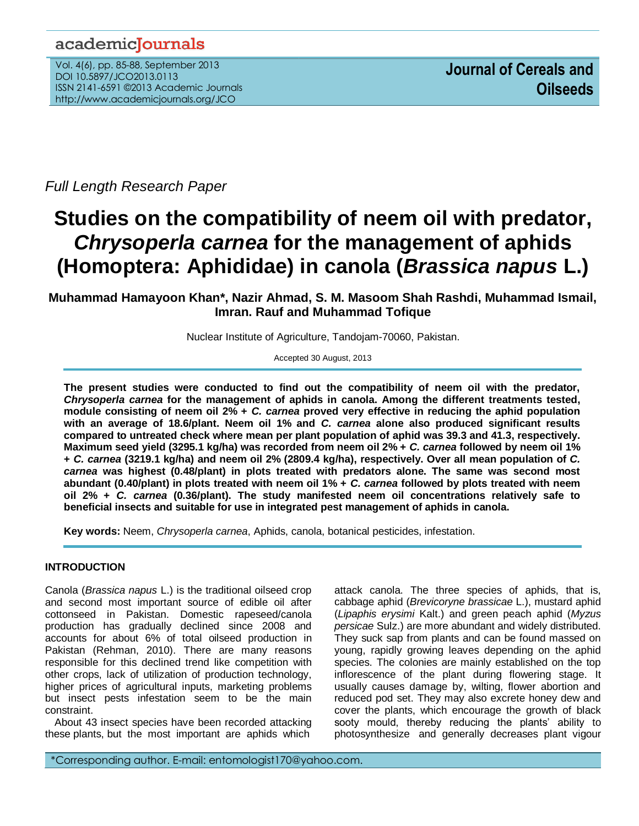## academicJournals

*Full Length Research Paper*

# **Studies on the compatibility of neem oil with predator,**  *Chrysoperla carnea* **for the management of aphids (Homoptera: Aphididae) in canola (***Brassica napus* **L.)**

**Muhammad Hamayoon Khan\*, Nazir Ahmad, S. M. Masoom Shah Rashdi, Muhammad Ismail, Imran. Rauf and Muhammad Tofique**

Nuclear Institute of Agriculture, Tandojam-70060, Pakistan.

Accepted 30 August, 2013

**The present studies were conducted to find out the compatibility of neem oil with the predator,**  *Chrysoperla carnea* **for the management of aphids in canola. Among the different treatments tested, module consisting of neem oil 2% +** *C. carnea* **proved very effective in reducing the aphid population with an average of 18.6/plant. Neem oil 1% and** *C. carnea* **alone also produced significant results compared to untreated check where mean per plant population of aphid was 39.3 and 41.3, respectively. Maximum seed yield (3295.1 kg/ha) was recorded from neem oil 2% +** *C. carnea* **followed by neem oil 1% +** *C. carnea* **(3219.1 kg/ha) and neem oil 2% (2809.4 kg/ha), respectively. Over all mean population of** *C. carnea* **was highest (0.48/plant) in plots treated with predators alone. The same was second most abundant (0.40/plant) in plots treated with neem oil 1% +** *C. carnea* **followed by plots treated with neem oil 2% +** *C. carnea* **(0.36/plant). The study manifested neem oil concentrations relatively safe to beneficial insects and suitable for use in integrated pest management of aphids in canola.**

**Key words:** Neem, *Chrysoperla carnea*, Aphids, canola, botanical pesticides, infestation.

### **INTRODUCTION**

Canola (*Brassica napus* L.) is the traditional oilseed crop and second most important source of edible oil after cottonseed in Pakistan. Domestic rapeseed/canola production has gradually declined since 2008 and accounts for about 6% of total oilseed production in Pakistan (Rehman, 2010). There are many reasons responsible for this declined trend like competition with other crops, lack of utilization of production technology, higher prices of agricultural inputs, marketing problems but insect pests infestation seem to be the main constraint.

About 43 insect species have been recorded attacking these plants, but the most important are aphids which

attack canola. The three species of aphids, that is, cabbage aphid (*Brevicoryne brassicae* L.), mustard aphid (*Lipaphis erysimi* Kalt.) and green peach aphid (*Myzus persicae* Sulz.) are more abundant and widely distributed. They suck sap from plants and can be found massed on young, rapidly growing leaves depending on the aphid species. The colonies are mainly established on the top inflorescence of the plant during flowering stage. It usually causes damage by, wilting, flower abortion and reduced pod set. They may also excrete honey dew and cover the plants, which encourage the growth of black sooty mould, thereby reducing the plants' ability to photosynthesize and generally decreases plant vigour

\*Corresponding author. E-mail: entomologist170[@yahoo.com.](mailto:ahmad315gb@yahoo.com)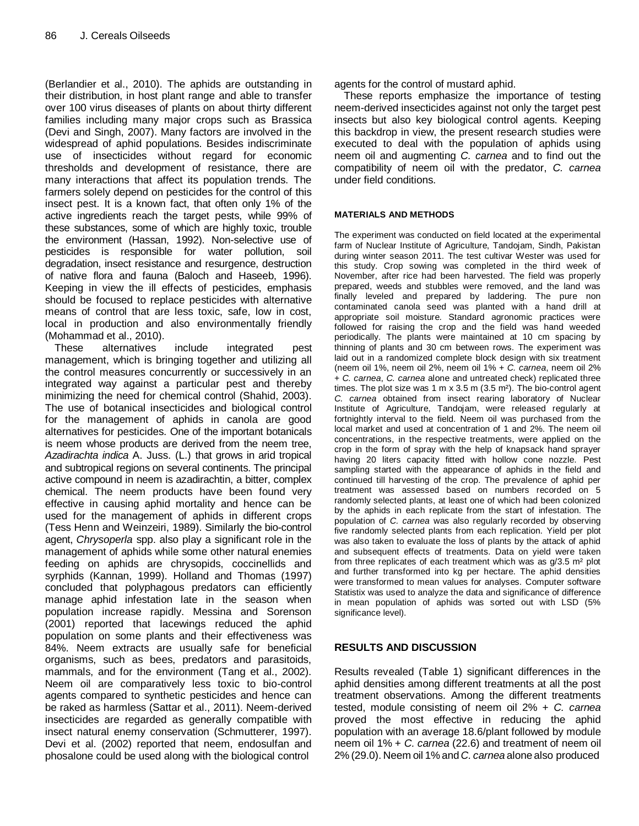(Berlandier et al., 2010). The aphids are outstanding in their distribution, in host plant range and able to transfer over 100 virus diseases of plants on about thirty different families including many major crops such as Brassica [\(Devi](http://ovidsp.tx.ovid.com/spb/ovidweb.cgi?&S=JAEJFPMIMFDDJGBIMCHLFBNKAHPPAA00&Search+Link=%22Devi%2c+PB%22.au.) and Singh, 2007). Many factors are involved in the widespread of aphid populations. Besides indiscriminate use of insecticides without regard for economic thresholds and development of resistance, there are many interactions that affect its population trends. The farmers solely depend on pesticides for the control of this insect pest. It is a known fact, that often only 1% of the active ingredients reach the target pests, while 99% of these substances, some of which are highly toxic, trouble the environment (Hassan, 1992). Non-selective use of pesticides is responsible for water pollution, soil degradation, insect resistance and resurgence, destruction of native flora and fauna (Baloch and Haseeb, 1996). Keeping in view the ill effects of pesticides, emphasis should be focused to replace pesticides with alternative means of control that are less toxic, safe, low in cost, local in production and also environmentally friendly (Mohammad et al., 2010).

These alternatives include integrated pest management, which is bringing together and utilizing all the control measures concurrently or successively in an integrated way against a particular pest and thereby minimizing the need for chemical control (Shahid, 2003). The use of botanical insecticides and biological control for the management of aphids in canola are good alternatives for pesticides. One of the important botanicals is neem whose products are derived from the neem tree, *Azadirachta indica* A. Juss. (L.) that grows in arid tropical and subtropical regions on several continents. The principal active compound in neem is azadirachtin, a bitter, complex chemical. The neem products have been found very effective in causing aphid mortality and hence can be used for the management of aphids in different crops (Tess Henn and Weinzeiri, 1989). Similarly the bio-control agent, *Chrysoperla* spp. also play a significant role in the management of aphids while some other natural enemies feeding on aphids are chrysopids, coccinellids and syrphids (Kannan, 1999). Holland and Thomas (1997) concluded that polyphagous predators can efficiently manage aphid infestation late in the season when population increase rapidly. Messina and Sorenson (2001) reported that lacewings reduced the aphid population on some plants and their effectiveness was 84%. Neem extracts are usually safe for beneficial organisms, such as bees, predators and parasitoids, mammals, and for the environment (Tang et al., 2002). Neem oil are comparatively less toxic to bio-control agents compared to synthetic pesticides and hence can be raked as harmless (Sattar et al., 2011). Neem-derived insecticides are regarded as generally compatible with insect natural enemy conservation (Schmutterer, 1997). Devi et al. (2002) reported that neem, endosulfan and phosalone could be used along with the biological control

agents for the control of mustard aphid.

These reports emphasize the importance of testing neem-derived insecticides against not only the target pest insects but also key biological control agents. Keeping this backdrop in view, the present research studies were executed to deal with the population of aphids using neem oil and augmenting *C. carnea* and to find out the compatibility of neem oil with the predator, *C. carnea* under field conditions.

#### **MATERIALS AND METHODS**

The experiment was conducted on field located at the experimental farm of Nuclear Institute of Agriculture, Tandojam, Sindh, Pakistan during winter season 2011. The test cultivar Wester was used for this study. Crop sowing was completed in the third week of November, after rice had been harvested. The field was properly prepared, weeds and stubbles were removed, and the land was finally leveled and prepared by laddering. The pure non contaminated canola seed was planted with a hand drill at appropriate soil moisture. Standard agronomic practices were followed for raising the crop and the field was hand weeded periodically. The plants were maintained at 10 cm spacing by thinning of plants and 30 cm between rows. The experiment was laid out in a randomized complete block design with six treatment (neem oil 1%, neem oil 2%, neem oil 1% + *C. carnea*, neem oil 2% + *C. carnea*, *C. carnea* alone and untreated check) replicated three times. The plot size was 1 m  $\times$  3.5 m (3.5 m<sup>2</sup>). The bio-control agent *C. carnea* obtained from insect rearing laboratory of Nuclear Institute of Agriculture, Tandojam, were released regularly at fortnightly interval to the field. Neem oil was purchased from the local market and used at concentration of 1 and 2%. The neem oil concentrations, in the respective treatments, were applied on the crop in the form of spray with the help of knapsack hand sprayer having 20 liters capacity fitted with hollow cone nozzle. Pest sampling started with the appearance of aphids in the field and continued till harvesting of the crop. The prevalence of aphid per treatment was assessed based on numbers recorded on 5 randomly selected plants, at least one of which had been colonized by the aphids in each replicate from the start of infestation. The population of *C. carnea* was also regularly recorded by observing five randomly selected plants from each replication. Yield per plot was also taken to evaluate the loss of plants by the attack of aphid and subsequent effects of treatments. Data on yield were taken from three replicates of each treatment which was as g/3.5 m² plot and further transformed into kg per hectare. The aphid densities were transformed to mean values for analyses. Computer software Statistix was used to analyze the data and significance of difference in mean population of aphids was sorted out with LSD (5% significance level).

#### **RESULTS AND DISCUSSION**

Results revealed (Table 1) significant differences in the aphid densities among different treatments at all the post treatment observations. Among the different treatments tested, module consisting of neem oil 2% + *C. carnea*  proved the most effective in reducing the aphid population with an average 18.6/plant followed by module neem oil 1% + *C. carnea* (22.6) and treatment of neem oil 2% (29.0). Neem oil 1% and *C. carnea* alone also produced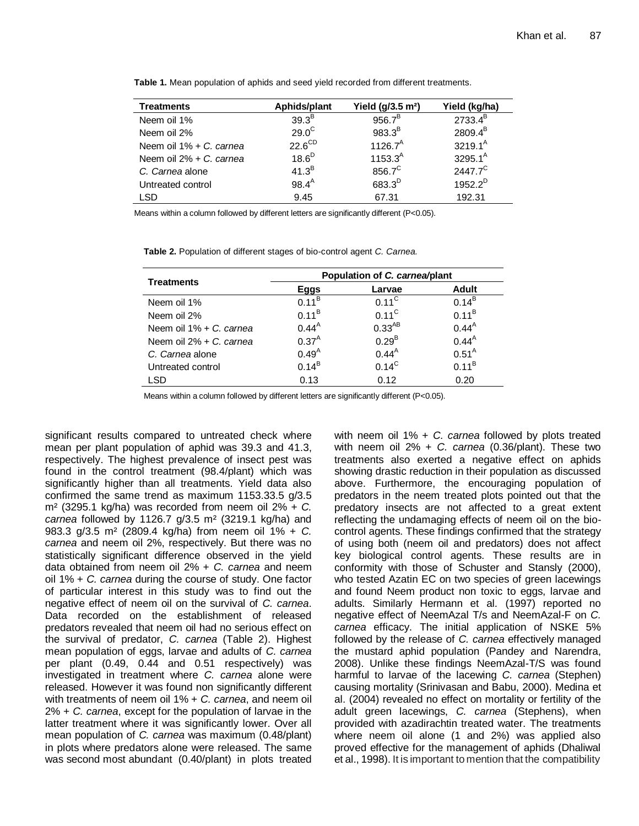| <b>Treatments</b>          | Aphids/plant       | Yield $(g/3.5 \text{ m}^2)$ | Yield (kg/ha)       |
|----------------------------|--------------------|-----------------------------|---------------------|
| Neem oil 1%                | 39.3 <sup>B</sup>  | $956.7^{B}$                 | $2733.4^{B}$        |
| Neem oil 2%                | $29.0^{\circ}$     | $983.3^{B}$                 | 2809.4 <sup>B</sup> |
| Neem oil 1% + C. carnea    | $22.6^{\text{CD}}$ | $1126.7^A$                  | $3219.1^A$          |
| Neem oil $2\%$ + C, carnea | $18.6^D$           | $1153.3^{A}$                | $3295.1^{A}$        |
| C. Carnea alone            | 41.3 <sup>B</sup>  | 856.7 <sup>C</sup>          | $2447.7^{\circ}$    |
| Untreated control          | $98.4^{A}$         | 683.3 <sup>D</sup>          | $1952.2^{D}$        |
| <b>LSD</b>                 | 9.45               | 67.31                       | 192.31              |

**Table 1.** Mean population of aphids and seed yield recorded from different treatments.

Means within a column followed by different letters are significantly different (P<0.05).

**Table 2.** Population of different stages of bio-control agent *C. Carnea.*

| <b>Treatments</b>       | Population of C. carnea/plant |                   |              |  |
|-------------------------|-------------------------------|-------------------|--------------|--|
|                         | Eggs                          | Larvae            | <b>Adult</b> |  |
| Neem oil 1%             | $0.11^{B}$                    | $0.11^{\circ}$    | $0.14^{B}$   |  |
| Neem oil 2%             | $0.11^{B}$                    | $0.11^{\circ}$    | $0.11^{B}$   |  |
| Neem oil 1% + C, carnea | $0.44^{A}$                    | $0.33^{AB}$       | $0.44^{A}$   |  |
| Neem oil 2% + C, carnea | $0.37^{A}$                    | 0.29 <sup>B</sup> | $0.44^{A}$   |  |
| C. Carnea alone         | $0.49^{A}$                    | $0.44^{A}$        | $0.51^{A}$   |  |
| Untreated control       | $0.14^{B}$                    | $0.14^{\circ}$    | $0.11^{B}$   |  |
| <b>LSD</b>              | 0.13                          | 0.12              | 0.20         |  |

Means within a column followed by different letters are significantly different (P<0.05).

significant results compared to untreated check where mean per plant population of aphid was 39.3 and 41.3, respectively. The highest prevalence of insect pest was found in the control treatment (98.4/plant) which was significantly higher than all treatments. Yield data also confirmed the same trend as maximum 1153.33.5 g/3.5 m² (3295.1 kg/ha) was recorded from neem oil 2% + *C. carnea* followed by 1126.7 g/3.5 m² (3219.1 kg/ha) and 983.3 g/3.5 m² (2809.4 kg/ha) from neem oil 1% + *C. carnea* and neem oil 2%, respectively. But there was no statistically significant difference observed in the yield data obtained from neem oil 2% + *C. carnea* and neem oil 1% + *C. carnea* during the course of study. One factor of particular interest in this study was to find out the negative effect of neem oil on the survival of *C. carnea*. Data recorded on the establishment of released predators revealed that neem oil had no serious effect on the survival of predator, *C. carnea* (Table 2). Highest mean population of eggs, larvae and adults of *C. carnea* per plant (0.49, 0.44 and 0.51 respectively) was investigated in treatment where *C. carnea* alone were released. However it was found non significantly different with treatments of neem oil 1% + *C. carnea*, and neem oil 2% + *C. carnea*, except for the population of larvae in the latter treatment where it was significantly lower. Over all mean population of *C. carnea* was maximum (0.48/plant) in plots where predators alone were released. The same was second most abundant (0.40/plant) in plots treated

with neem oil 1% + *C. carnea* followed by plots treated with neem oil 2% + *C. carnea* (0.36/plant). These two treatments also exerted a negative effect on aphids showing drastic reduction in their population as discussed above. Furthermore, the encouraging population of predators in the neem treated plots pointed out that the predatory insects are not affected to a great extent reflecting the undamaging effects of neem oil on the biocontrol agents. These findings confirmed that the strategy of using both (neem oil and predators) does not affect key biological control agents. These results are in conformity with those of Schuster and Stansly (2000), who tested Azatin EC on two species of green lacewings and found Neem product non toxic to eggs, larvae and adults. Similarly Hermann et al*.* (1997) reported no negative effect of NeemAzal T/s and NeemAzal-F on *C. carnea* efficacy. The initial application of NSKE 5% followed by the release of *C. carnea* effectively managed the mustard aphid population (Pandey and Narendra, 2008). Unlike these findings NeemAzal-T/S was found harmful to larvae of the lacewing *C. carnea* (Stephen) causing mortality (Srinivasan and Babu, 2000). Medina et al. (2004) revealed no effect on mortality or fertility of the adult green lacewings, *C. carnea* (Stephens), when provided with azadirachtin treated water. The treatments where neem oil alone (1 and 2%) was applied also proved effective for the management of aphids (Dhaliwal et al., 1998). It is important to mention that the compatibility